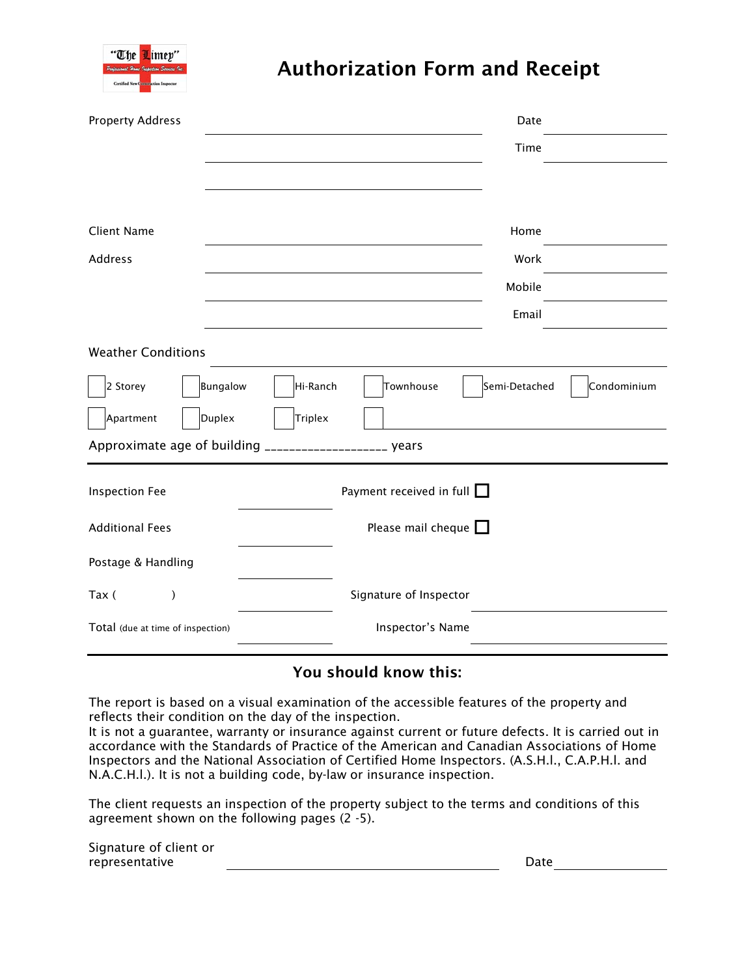

# Authorization Form and Receipt

| <b>Property Address</b>           | Date                                                  |
|-----------------------------------|-------------------------------------------------------|
|                                   | Time                                                  |
|                                   |                                                       |
|                                   |                                                       |
| <b>Client Name</b>                | Home                                                  |
| Address                           | Work                                                  |
|                                   | Mobile                                                |
|                                   | Email                                                 |
| <b>Weather Conditions</b>         |                                                       |
| 2 Storey<br><b>Bungalow</b>       | Townhouse<br>Semi-Detached<br>Condominium<br>Hi-Ranch |
| Duplex<br>Apartment               | <b>Triplex</b>                                        |
| Approximate age of building _     | $- - - - - - - - - -$<br>_ years                      |
| <b>Inspection Fee</b>             | Payment received in full $\Box$                       |
| <b>Additional Fees</b>            | Please mail cheque $\square$                          |
| Postage & Handling                |                                                       |
| Tax (<br>$\mathcal{E}$            | Signature of Inspector                                |
| Total (due at time of inspection) | Inspector's Name                                      |

## You should know this:

The report is based on a visual examination of the accessible features of the property and reflects their condition on the day of the inspection.

It is not a guarantee, warranty or insurance against current or future defects. It is carried out in accordance with the Standards of Practice of the American and Canadian Associations of Home Inspectors and the National Association of Certified Home Inspectors. (A.S.H.l., C.A.P.H.l. and N.A.C.H.l.). It is not a building code, by-law or insurance inspection.

The client requests an inspection of the property subject to the terms and conditions of this agreement shown on the following pages (2 -5).

Signature of client or representative Date Date of the Date of the Date of the Date of the Date of the Date of the Date of the Date of the Date of the Date of the Date of the Date of the Date of the Date of the Date of the Date of the Date of th

| ate |  |
|-----|--|
|     |  |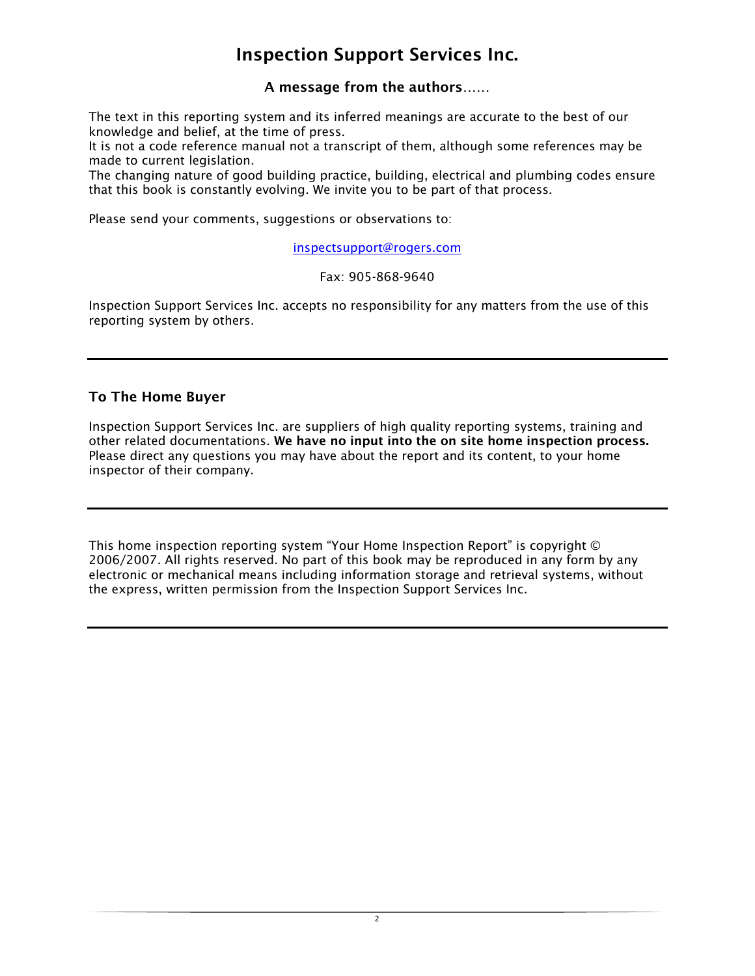## Inspection Support Services Inc.

A message from the authors……

The text in this reporting system and its inferred meanings are accurate to the best of our knowledge and belief, at the time of press.

It is not a code reference manual not a transcript of them, although some references may be made to current legislation.

The changing nature of good building practice, building, electrical and plumbing codes ensure that this book is constantly evolving. We invite you to be part of that process.

Please send your comments, suggestions or observations to:

inspectsupport@rogers.com

#### Fax: 905-868-9640

Inspection Support Services Inc. accepts no responsibility for any matters from the use of this reporting system by others.

### To The Home Buyer

Inspection Support Services Inc. are suppliers of high quality reporting systems, training and other related documentations. We have no input into the on site home inspection process. Please direct any questions you may have about the report and its content, to your home inspector of their company.

This home inspection reporting system "Your Home Inspection Report" is copyright © 2006/2007. All rights reserved. No part of this book may be reproduced in any form by any electronic or mechanical means including information storage and retrieval systems, without the express, written permission from the Inspection Support Services Inc.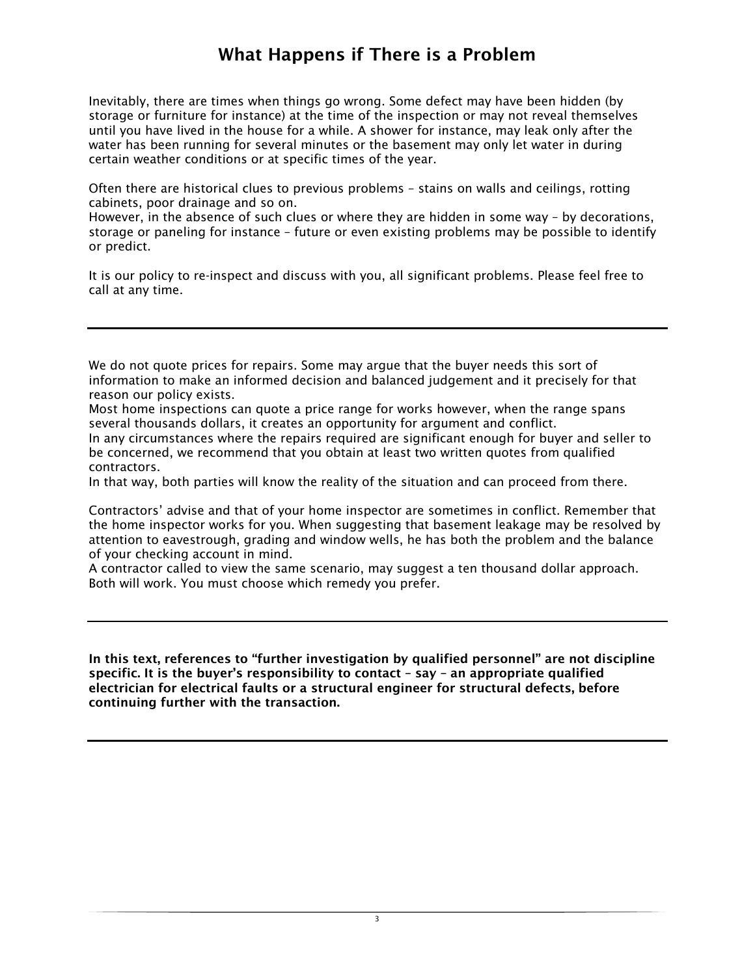## What Happens if There is a Problem

Inevitably, there are times when things go wrong. Some defect may have been hidden (by storage or furniture for instance) at the time of the inspection or may not reveal themselves until you have lived in the house for a while. A shower for instance, may leak only after the water has been running for several minutes or the basement may only let water in during certain weather conditions or at specific times of the year.

Often there are historical clues to previous problems – stains on walls and ceilings, rotting cabinets, poor drainage and so on.

However, in the absence of such clues or where they are hidden in some way – by decorations, storage or paneling for instance – future or even existing problems may be possible to identify or predict.

It is our policy to re-inspect and discuss with you, all significant problems. Please feel free to call at any time.

We do not quote prices for repairs. Some may argue that the buyer needs this sort of information to make an informed decision and balanced judgement and it precisely for that reason our policy exists.

Most home inspections can quote a price range for works however, when the range spans several thousands dollars, it creates an opportunity for argument and conflict.

In any circumstances where the repairs required are significant enough for buyer and seller to be concerned, we recommend that you obtain at least two written quotes from qualified contractors.

In that way, both parties will know the reality of the situation and can proceed from there.

Contractors' advise and that of your home inspector are sometimes in conflict. Remember that the home inspector works for you. When suggesting that basement leakage may be resolved by attention to eavestrough, grading and window wells, he has both the problem and the balance of your checking account in mind.

A contractor called to view the same scenario, may suggest a ten thousand dollar approach. Both will work. You must choose which remedy you prefer.

In this text, references to "further investigation by qualified personnel" are not discipline specific. It is the buyer's responsibility to contact – say – an appropriate qualified electrician for electrical faults or a structural engineer for structural defects, before continuing further with the transaction.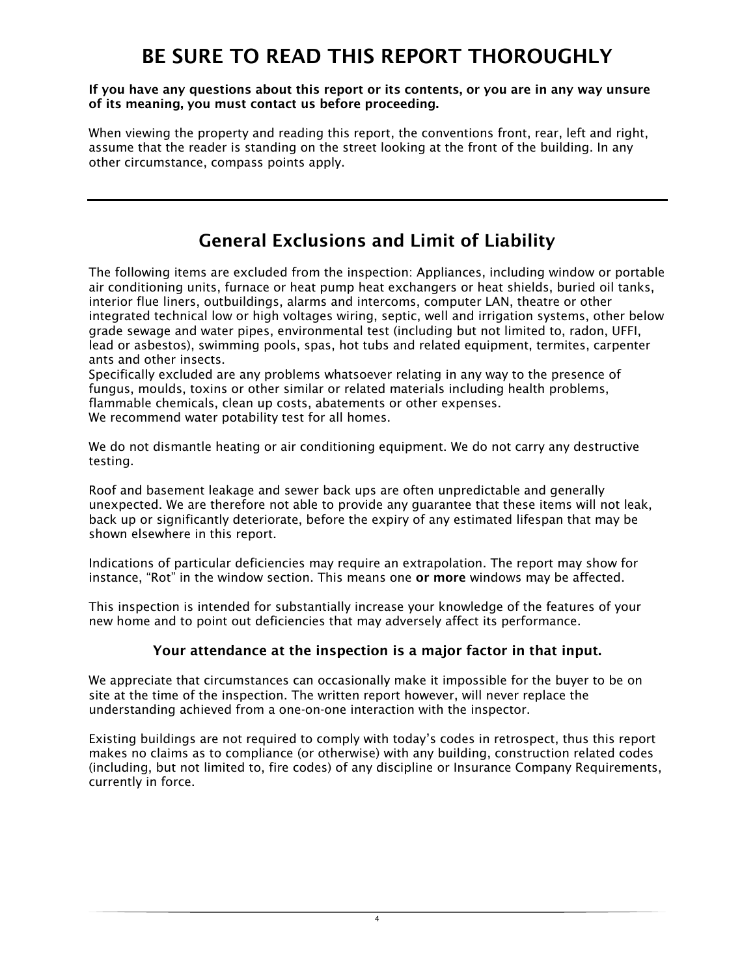# BE SURE TO READ THIS REPORT THOROUGHLY

#### If you have any questions about this report or its contents, or you are in any way unsure of its meaning, you must contact us before proceeding.

When viewing the property and reading this report, the conventions front, rear, left and right, assume that the reader is standing on the street looking at the front of the building. In any other circumstance, compass points apply.

# General Exclusions and Limit of Liability

The following items are excluded from the inspection: Appliances, including window or portable air conditioning units, furnace or heat pump heat exchangers or heat shields, buried oil tanks, interior flue liners, outbuildings, alarms and intercoms, computer LAN, theatre or other integrated technical low or high voltages wiring, septic, well and irrigation systems, other below grade sewage and water pipes, environmental test (including but not limited to, radon, UFFI, lead or asbestos), swimming pools, spas, hot tubs and related equipment, termites, carpenter ants and other insects.

Specifically excluded are any problems whatsoever relating in any way to the presence of fungus, moulds, toxins or other similar or related materials including health problems, flammable chemicals, clean up costs, abatements or other expenses. We recommend water potability test for all homes.

We do not dismantle heating or air conditioning equipment. We do not carry any destructive testing.

Roof and basement leakage and sewer back ups are often unpredictable and generally unexpected. We are therefore not able to provide any guarantee that these items will not leak, back up or significantly deteriorate, before the expiry of any estimated lifespan that may be shown elsewhere in this report.

Indications of particular deficiencies may require an extrapolation. The report may show for instance, "Rot" in the window section. This means one or more windows may be affected.

This inspection is intended for substantially increase your knowledge of the features of your new home and to point out deficiencies that may adversely affect its performance.

## Your attendance at the inspection is a major factor in that input.

We appreciate that circumstances can occasionally make it impossible for the buyer to be on site at the time of the inspection. The written report however, will never replace the understanding achieved from a one-on-one interaction with the inspector.

Existing buildings are not required to comply with today's codes in retrospect, thus this report makes no claims as to compliance (or otherwise) with any building, construction related codes (including, but not limited to, fire codes) of any discipline or Insurance Company Requirements, currently in force.